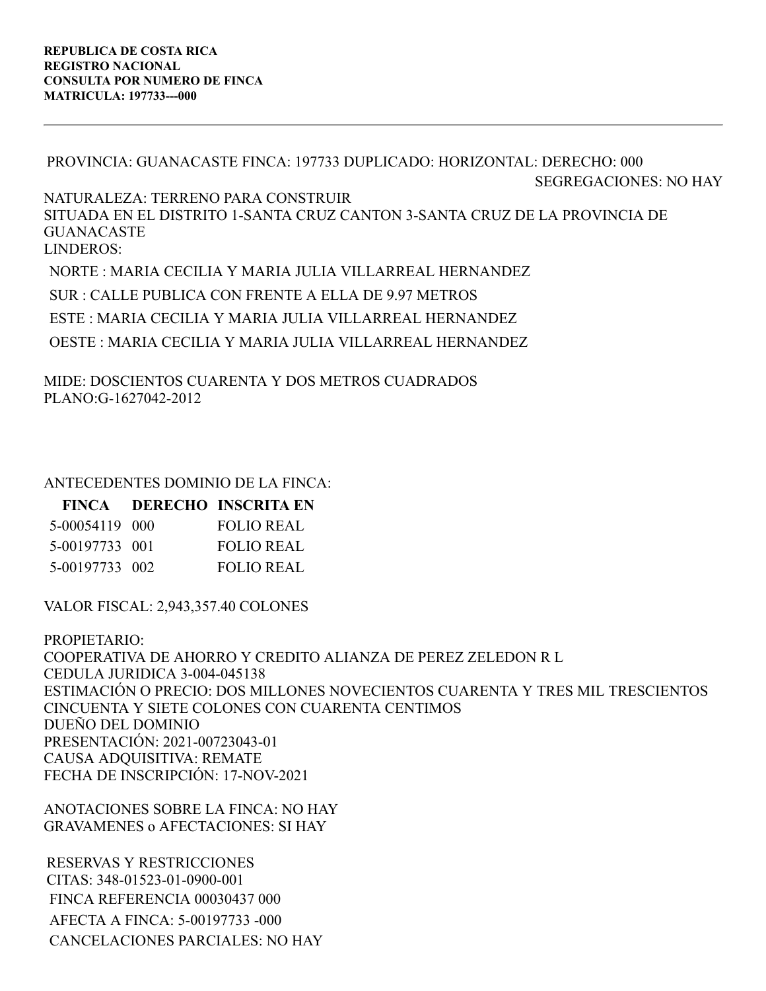PROVINCIA: GUANACASTE FINCA: 197733 DUPLICADO: HORIZONTAL: DERECHO: 000 SEGREGACIONES: NO HAY NATURALEZA: TERRENO PARA CONSTRUIR SITUADA EN EL DISTRITO 1-SANTA CRUZ CANTON 3-SANTA CRUZ DE LA PROVINCIA DE GUANACASTE LINDEROS: NORTE : MARIA CECILIA Y MARIA JULIA VILLARREAL HERNANDEZ

SUR : CALLE PUBLICA CON FRENTE A ELLA DE 9.97 METROS ESTE : MARIA CECILIA Y MARIA JULIA VILLARREAL HERNANDEZ OESTE : MARIA CECILIA Y MARIA JULIA VILLARREAL HERNANDEZ

MIDE: DOSCIENTOS CUARENTA Y DOS METROS CUADRADOS PLANO:G-1627042-2012

## ANTECEDENTES DOMINIO DE LA FINCA:

|                | FINCA DERECHO INSCRITA EN |
|----------------|---------------------------|
| 5-00054119 000 | FOLIO REAL                |
| 5-00197733 001 | <b>FOLIO REAL</b>         |
| 5-00197733 002 | <b>FOLIO REAL</b>         |

VALOR FISCAL: 2,943,357.40 COLONES

PROPIETARIO: COOPERATIVA DE AHORRO Y CREDITO ALIANZA DE PEREZ ZELEDON R L CEDULA JURIDICA 3-004-045138 ESTIMACIÓN O PRECIO: DOS MILLONES NOVECIENTOS CUARENTA Y TRES MIL TRESCIENTOS CINCUENTA Y SIETE COLONES CON CUARENTA CENTIMOS DUEÑO DEL DOMINIO PRESENTACIÓN: 2021-00723043-01 CAUSA ADQUISITIVA: REMATE FECHA DE INSCRIPCIÓN: 17-NOV-2021

ANOTACIONES SOBRE LA FINCA: NO HAY GRAVAMENES o AFECTACIONES: SI HAY

RESERVAS Y RESTRICCIONES CITAS: 348-01523-01-0900-001 FINCA REFERENCIA 00030437 000 AFECTA A FINCA: 5-00197733 -000 CANCELACIONES PARCIALES: NO HAY